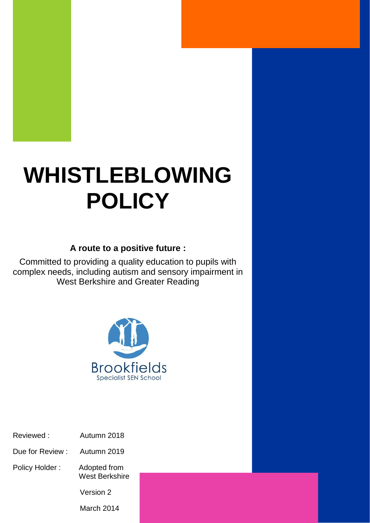# **WHISTLEBLOWING POLICY**

### **A route to a positive future :**

Committed to providing a quality education to pupils with complex needs, including autism and sensory impairment in West Berkshire and Greater Reading



- Reviewed : Autumn 2018
- Due for Review : Autumn 2019
- Policy Holder : Adopted from West Berkshire

Version 2

March 2014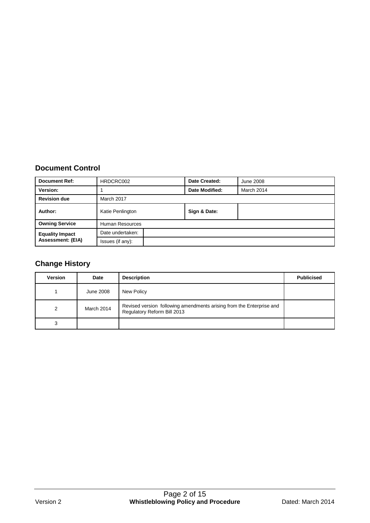#### **Document Control**

| <b>Document Ref:</b>     | HRDCRC002        | Date Created:  | June 2008  |  |
|--------------------------|------------------|----------------|------------|--|
| Version:                 |                  | Date Modified: | March 2014 |  |
| <b>Revision due</b>      | March 2017       |                |            |  |
| Author:                  | Katie Penlington | Sign & Date:   |            |  |
| <b>Owning Service</b>    | Human Resources  |                |            |  |
| <b>Equality Impact</b>   | Date undertaken: |                |            |  |
| <b>Assessment: (EIA)</b> | Issues (if any): |                |            |  |

## **Change History**

| <b>Version</b> | Date       | <b>Description</b>                                                                                  | <b>Publicised</b> |
|----------------|------------|-----------------------------------------------------------------------------------------------------|-------------------|
|                | June 2008  | New Policy                                                                                          |                   |
| $\mathcal{P}$  | March 2014 | Revised version following amendments arising from the Enterprise and<br>Regulatory Reform Bill 2013 |                   |
| 3              |            |                                                                                                     |                   |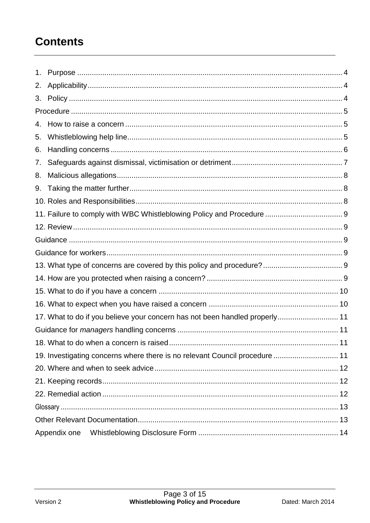# **Contents**

| 1. |                                                                             |
|----|-----------------------------------------------------------------------------|
| 2. |                                                                             |
| 3. |                                                                             |
|    |                                                                             |
| 4. |                                                                             |
| 5. |                                                                             |
| 6. |                                                                             |
| 7. |                                                                             |
| 8. |                                                                             |
| 9. |                                                                             |
|    |                                                                             |
|    |                                                                             |
|    |                                                                             |
|    |                                                                             |
|    |                                                                             |
|    |                                                                             |
|    |                                                                             |
|    |                                                                             |
|    |                                                                             |
|    | 17. What to do if you believe your concern has not been handled properly 11 |
|    |                                                                             |
|    | 11                                                                          |
|    | 19. Investigating concerns where there is no relevant Council procedure  11 |
|    |                                                                             |
|    |                                                                             |
|    |                                                                             |
|    |                                                                             |
|    |                                                                             |
|    |                                                                             |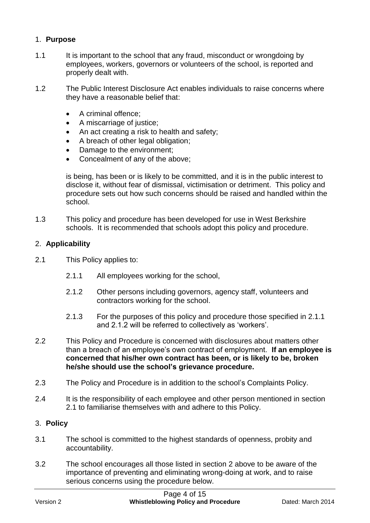#### 1. **Purpose**

- 1.1 It is important to the school that any fraud, misconduct or wrongdoing by employees, workers, governors or volunteers of the school, is reported and properly dealt with.
- 1.2 The Public Interest Disclosure Act enables individuals to raise concerns where they have a reasonable belief that:
	- A criminal offence:
	- A miscarriage of justice;
	- An act creating a risk to health and safety;
	- A breach of other legal obligation;
	- Damage to the environment;
	- Concealment of any of the above;

is being, has been or is likely to be committed, and it is in the public interest to disclose it, without fear of dismissal, victimisation or detriment. This policy and procedure sets out how such concerns should be raised and handled within the school.

1.3 This policy and procedure has been developed for use in West Berkshire schools. It is recommended that schools adopt this policy and procedure.

#### 2. **Applicability**

- 2.1 This Policy applies to:
	- 2.1.1 All employees working for the school,
	- 2.1.2 Other persons including governors, agency staff, volunteers and contractors working for the school.
	- 2.1.3 For the purposes of this policy and procedure those specified in 2.1.1 and 2.1.2 will be referred to collectively as 'workers'.
- 2.2 This Policy and Procedure is concerned with disclosures about matters other than a breach of an employee's own contract of employment. **If an employee is concerned that his/her own contract has been, or is likely to be, broken he/she should use the school's grievance procedure.**
- 2.3 The Policy and Procedure is in addition to the school's Complaints Policy.
- 2.4 It is the responsibility of each employee and other person mentioned in section 2.1 to familiarise themselves with and adhere to this Policy.

#### 3. **Policy**

- 3.1 The school is committed to the highest standards of openness, probity and accountability.
- 3.2 The school encourages all those listed in section 2 above to be aware of the importance of preventing and eliminating wrong-doing at work, and to raise serious concerns using the procedure below.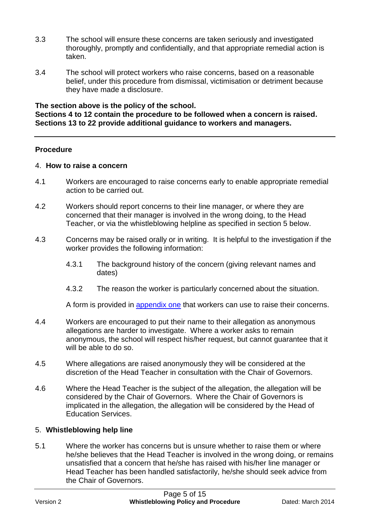- 3.3 The school will ensure these concerns are taken seriously and investigated thoroughly, promptly and confidentially, and that appropriate remedial action is taken.
- 3.4 The school will protect workers who raise concerns, based on a reasonable belief, under this procedure from dismissal, victimisation or detriment because they have made a disclosure.

**The section above is the policy of the school. Sections 4 to 12 contain the procedure to be followed when a concern is raised. Sections 13 to 22 provide additional guidance to workers and managers.**

#### **Procedure**

#### 4. **How to raise a concern**

- 4.1 Workers are encouraged to raise concerns early to enable appropriate remedial action to be carried out.
- 4.2 Workers should report concerns to their line manager, or where they are concerned that their manager is involved in the wrong doing, to the Head Teacher, or via the whistleblowing helpline as specified in section 5 below.
- 4.3 Concerns may be raised orally or in writing. It is helpful to the investigation if the worker provides the following information:
	- 4.3.1 The background history of the concern (giving relevant names and dates)
	- 4.3.2 The reason the worker is particularly concerned about the situation.

A form is provided in [appendix one](#page-12-0) that workers can use to raise their concerns.

- 4.4 Workers are encouraged to put their name to their allegation as anonymous allegations are harder to investigate. Where a worker asks to remain anonymous, the school will respect his/her request, but cannot guarantee that it will be able to do so.
- 4.5 Where allegations are raised anonymously they will be considered at the discretion of the Head Teacher in consultation with the Chair of Governors.
- 4.6 Where the Head Teacher is the subject of the allegation, the allegation will be considered by the Chair of Governors. Where the Chair of Governors is implicated in the allegation, the allegation will be considered by the Head of Education Services.

#### 5. **Whistleblowing help line**

5.1 Where the worker has concerns but is unsure whether to raise them or where he/she believes that the Head Teacher is involved in the wrong doing, or remains unsatisfied that a concern that he/she has raised with his/her line manager or Head Teacher has been handled satisfactorily, he/she should seek advice from the Chair of Governors.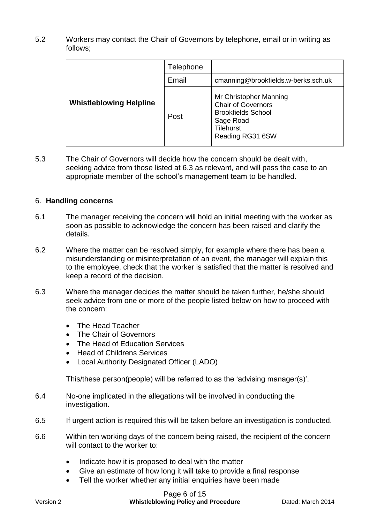5.2 Workers may contact the Chair of Governors by telephone, email or in writing as follows;

|                                | Telephone |                                                                                                                                       |  |
|--------------------------------|-----------|---------------------------------------------------------------------------------------------------------------------------------------|--|
|                                | Email     | cmanning@brookfields.w-berks.sch.uk                                                                                                   |  |
| <b>Whistleblowing Helpline</b> | Post      | Mr Christopher Manning<br><b>Chair of Governors</b><br><b>Brookfields School</b><br>Sage Road<br><b>Tilehurst</b><br>Reading RG31 6SW |  |

5.3 The Chair of Governors will decide how the concern should be dealt with, seeking advice from those listed at 6.3 as relevant, and will pass the case to an appropriate member of the school's management team to be handled.

#### 6. **Handling concerns**

- 6.1 The manager receiving the concern will hold an initial meeting with the worker as soon as possible to acknowledge the concern has been raised and clarify the details.
- 6.2 Where the matter can be resolved simply, for example where there has been a misunderstanding or misinterpretation of an event, the manager will explain this to the employee, check that the worker is satisfied that the matter is resolved and keep a record of the decision.
- 6.3 Where the manager decides the matter should be taken further, he/she should seek advice from one or more of the people listed below on how to proceed with the concern:
	- The Head Teacher
	- The Chair of Governors
	- The Head of Education Services
	- Head of Childrens Services
	- Local Authority Designated Officer (LADO)

This/these person(people) will be referred to as the 'advising manager(s)'.

- 6.4 No-one implicated in the allegations will be involved in conducting the investigation.
- 6.5 If urgent action is required this will be taken before an investigation is conducted.
- 6.6 Within ten working days of the concern being raised, the recipient of the concern will contact to the worker to:
	- Indicate how it is proposed to deal with the matter
	- Give an estimate of how long it will take to provide a final response
	- Tell the worker whether any initial enquiries have been made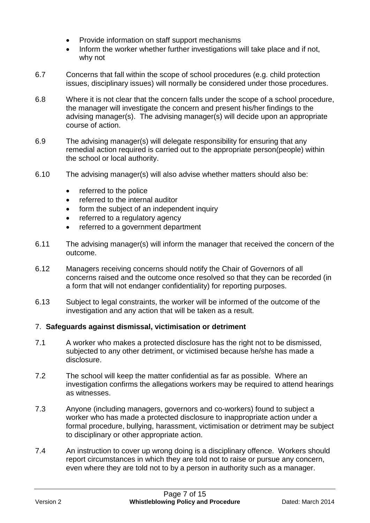- Provide information on staff support mechanisms
- Inform the worker whether further investigations will take place and if not, why not
- 6.7 Concerns that fall within the scope of school procedures (e.g. child protection issues, disciplinary issues) will normally be considered under those procedures.
- 6.8 Where it is not clear that the concern falls under the scope of a school procedure, the manager will investigate the concern and present his/her findings to the advising manager(s). The advising manager(s) will decide upon an appropriate course of action.
- 6.9 The advising manager(s) will delegate responsibility for ensuring that any remedial action required is carried out to the appropriate person(people) within the school or local authority.
- 6.10 The advising manager(s) will also advise whether matters should also be:
	- referred to the police
	- referred to the internal auditor
	- form the subject of an independent inquiry
	- referred to a regulatory agency
	- referred to a government department
- 6.11 The advising manager(s) will inform the manager that received the concern of the outcome.
- 6.12 Managers receiving concerns should notify the Chair of Governors of all concerns raised and the outcome once resolved so that they can be recorded (in a form that will not endanger confidentiality) for reporting purposes.
- 6.13 Subject to legal constraints, the worker will be informed of the outcome of the investigation and any action that will be taken as a result.

#### 7. **Safeguards against dismissal, victimisation or detriment**

- 7.1 A worker who makes a protected disclosure has the right not to be dismissed, subjected to any other detriment, or victimised because he/she has made a disclosure.
- 7.2 The school will keep the matter confidential as far as possible. Where an investigation confirms the allegations workers may be required to attend hearings as witnesses.
- 7.3 Anyone (including managers, governors and co-workers) found to subject a worker who has made a protected disclosure to inappropriate action under a formal procedure, bullying, harassment, victimisation or detriment may be subject to disciplinary or other appropriate action.
- 7.4 An instruction to cover up wrong doing is a disciplinary offence. Workers should report circumstances in which they are told not to raise or pursue any concern, even where they are told not to by a person in authority such as a manager.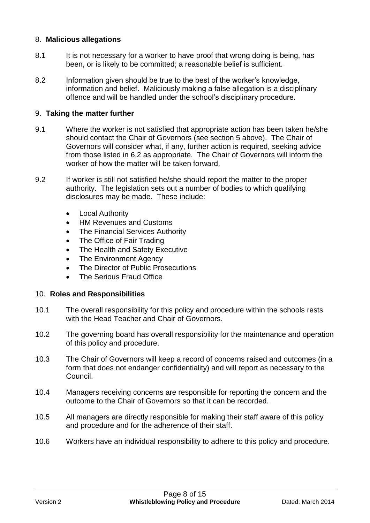#### 8. **Malicious allegations**

- 8.1 It is not necessary for a worker to have proof that wrong doing is being, has been, or is likely to be committed; a reasonable belief is sufficient.
- 8.2 Information given should be true to the best of the worker's knowledge, information and belief. Maliciously making a false allegation is a disciplinary offence and will be handled under the school's disciplinary procedure.

#### 9. **Taking the matter further**

- 9.1 Where the worker is not satisfied that appropriate action has been taken he/she should contact the Chair of Governors (see section 5 above). The Chair of Governors will consider what, if any, further action is required, seeking advice from those listed in 6.2 as appropriate. The Chair of Governors will inform the worker of how the matter will be taken forward.
- 9.2 If worker is still not satisfied he/she should report the matter to the proper authority. The legislation sets out a number of bodies to which qualifying disclosures may be made. These include:
	- Local Authority
	- HM Revenues and Customs
	- The Financial Services Authority
	- The Office of Fair Trading
	- The Health and Safety Executive
	- The Environment Agency
	- The Director of Public Prosecutions
	- The Serious Fraud Office

#### 10. **Roles and Responsibilities**

- 10.1 The overall responsibility for this policy and procedure within the schools rests with the Head Teacher and Chair of Governors.
- 10.2 The governing board has overall responsibility for the maintenance and operation of this policy and procedure.
- 10.3 The Chair of Governors will keep a record of concerns raised and outcomes (in a form that does not endanger confidentiality) and will report as necessary to the Council.
- 10.4 Managers receiving concerns are responsible for reporting the concern and the outcome to the Chair of Governors so that it can be recorded.
- 10.5 All managers are directly responsible for making their staff aware of this policy and procedure and for the adherence of their staff.
- 10.6 Workers have an individual responsibility to adhere to this policy and procedure.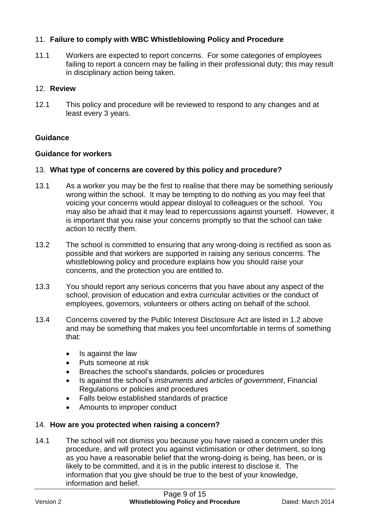#### 11. **Failure to comply with WBC Whistleblowing Policy and Procedure**

11.1 Workers are expected to report concerns. For some categories of employees failing to report a concern may be failing in their professional duty; this may result in disciplinary action being taken.

#### 12. **Review**

12.1 This policy and procedure will be reviewed to respond to any changes and at least every 3 years.

#### **Guidance**

#### **Guidance for workers**

#### 13. **What type of concerns are covered by this policy and procedure?**

- 13.1 As a worker you may be the first to realise that there may be something seriously wrong within the school. It may be tempting to do nothing as you may feel that voicing your concerns would appear disloyal to colleagues or the school. You may also be afraid that it may lead to repercussions against yourself. However, it is important that you raise your concerns promptly so that the school can take action to rectify them.
- 13.2 The school is committed to ensuring that any wrong-doing is rectified as soon as possible and that workers are supported in raising any serious concerns. The whistleblowing policy and procedure explains how you should raise your concerns, and the protection you are entitled to.
- 13.3 You should report any serious concerns that you have about any aspect of the school, provision of education and extra curricular activities or the conduct of employees, governors, volunteers or others acting on behalf of the school.
- 13.4 Concerns covered by the Public Interest Disclosure Act are listed in 1.2 above and may be something that makes you feel uncomfortable in terms of something that:
	- Is against the law
	- Puts someone at risk
	- Breaches the school's standards, policies or procedures
	- Is against the school's *instruments and articles of government*, Financial Regulations or policies and procedures
	- Falls below established standards of practice
	- Amounts to improper conduct

#### 14. **How are you protected when raising a concern?**

14.1 The school will not dismiss you because you have raised a concern under this procedure, and will protect you against victimisation or other detriment, so long as you have a reasonable belief that the wrong-doing is being, has been, or is likely to be committed, and it is in the public interest to disclose it. The information that you give should be true to the best of your knowledge, information and belief.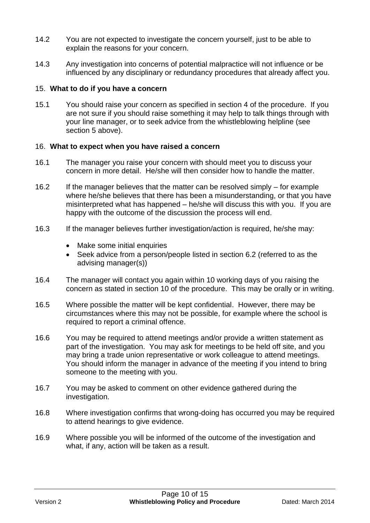- 14.2 You are not expected to investigate the concern yourself, just to be able to explain the reasons for your concern.
- 14.3 Any investigation into concerns of potential malpractice will not influence or be influenced by any disciplinary or redundancy procedures that already affect you.

#### 15. **What to do if you have a concern**

15.1 You should raise your concern as specified in section 4 of the procedure. If you are not sure if you should raise something it may help to talk things through with your line manager, or to seek advice from the whistleblowing helpline (see section 5 above).

#### 16. **What to expect when you have raised a concern**

- 16.1 The manager you raise your concern with should meet you to discuss your concern in more detail. He/she will then consider how to handle the matter.
- 16.2 If the manager believes that the matter can be resolved simply for example where he/she believes that there has been a misunderstanding, or that you have misinterpreted what has happened – he/she will discuss this with you. If you are happy with the outcome of the discussion the process will end.
- 16.3 If the manager believes further investigation/action is required, he/she may:
	- Make some initial enquiries
	- Seek advice from a person/people listed in section 6.2 (referred to as the advising manager(s))
- 16.4 The manager will contact you again within 10 working days of you raising the concern as stated in section 10 of the procedure. This may be orally or in writing.
- 16.5 Where possible the matter will be kept confidential. However, there may be circumstances where this may not be possible, for example where the school is required to report a criminal offence.
- 16.6 You may be required to attend meetings and/or provide a written statement as part of the investigation. You may ask for meetings to be held off site, and you may bring a trade union representative or work colleague to attend meetings. You should inform the manager in advance of the meeting if you intend to bring someone to the meeting with you.
- 16.7 You may be asked to comment on other evidence gathered during the investigation.
- 16.8 Where investigation confirms that wrong-doing has occurred you may be required to attend hearings to give evidence.
- 16.9 Where possible you will be informed of the outcome of the investigation and what, if any, action will be taken as a result.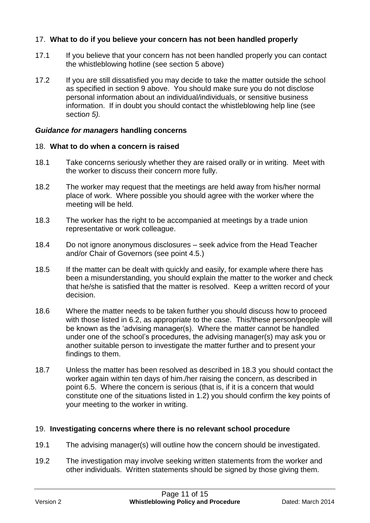#### 17. **What to do if you believe your concern has not been handled properly**

- 17.1 If you believe that your concern has not been handled properly you can contact the whistleblowing hotline (see section 5 above)
- 17.2 If you are still dissatisfied you may decide to take the matter outside the school as specified in section 9 above. You should make sure you do not disclose personal information about an individual/individuals, or sensitive business information. If in doubt you should contact the whistleblowing help line (see sectio*n 5).*

#### *Guidance for managers* **handling concerns**

#### 18. **What to do when a concern is raised**

- 18.1 Take concerns seriously whether they are raised orally or in writing. Meet with the worker to discuss their concern more fully.
- 18.2 The worker may request that the meetings are held away from his/her normal place of work. Where possible you should agree with the worker where the meeting will be held.
- 18.3 The worker has the right to be accompanied at meetings by a trade union representative or work colleague.
- 18.4 Do not ignore anonymous disclosures seek advice from the Head Teacher and/or Chair of Governors (see point 4.5.)
- 18.5 If the matter can be dealt with quickly and easily, for example where there has been a misunderstanding, you should explain the matter to the worker and check that he/she is satisfied that the matter is resolved. Keep a written record of your decision.
- 18.6 Where the matter needs to be taken further you should discuss how to proceed with those listed in 6.2, as appropriate to the case. This/these person/people will be known as the 'advising manager(s). Where the matter cannot be handled under one of the school's procedures, the advising manager(s) may ask you or another suitable person to investigate the matter further and to present your findings to them.
- 18.7 Unless the matter has been resolved as described in 18.3 you should contact the worker again within ten days of him./her raising the concern, as described in point 6.5. Where the concern is serious (that is, if it is a concern that would constitute one of the situations listed in 1.2) you should confirm the key points of your meeting to the worker in writing.

#### 19. **Investigating concerns where there is no relevant school procedure**

- 19.1 The advising manager(s) will outline how the concern should be investigated.
- 19.2 The investigation may involve seeking written statements from the worker and other individuals. Written statements should be signed by those giving them.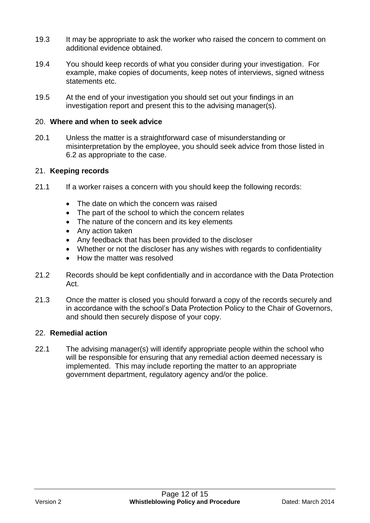- 19.3 It may be appropriate to ask the worker who raised the concern to comment on additional evidence obtained.
- 19.4 You should keep records of what you consider during your investigation. For example, make copies of documents, keep notes of interviews, signed witness statements etc.
- 19.5 At the end of your investigation you should set out your findings in an investigation report and present this to the advising manager(s).

#### 20. **Where and when to seek advice**

20.1 Unless the matter is a straightforward case of misunderstanding or misinterpretation by the employee, you should seek advice from those listed in 6.2 as appropriate to the case.

#### 21. **Keeping records**

- 21.1 If a worker raises a concern with you should keep the following records:
	- The date on which the concern was raised
	- The part of the school to which the concern relates
	- The nature of the concern and its key elements
	- Any action taken
	- Any feedback that has been provided to the discloser
	- Whether or not the discloser has any wishes with regards to confidentiality
	- How the matter was resolved
- 21.2 Records should be kept confidentially and in accordance with the Data Protection Act.
- 21.3 Once the matter is closed you should forward a copy of the records securely and in accordance with the school's Data Protection Policy to the Chair of Governors, and should then securely dispose of your copy.

#### 22. **Remedial action**

22.1 The advising manager(s) will identify appropriate people within the school who will be responsible for ensuring that any remedial action deemed necessary is implemented. This may include reporting the matter to an appropriate government department, regulatory agency and/or the police.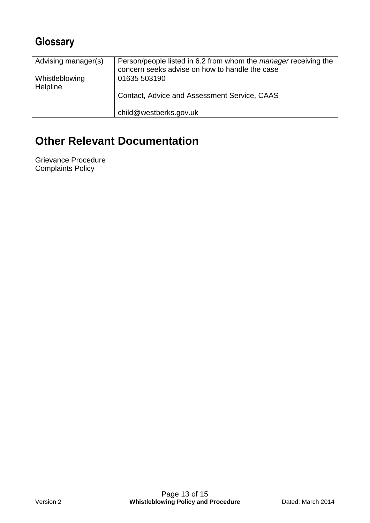## **Glossary**

| Advising manager(s)               | Person/people listed in 6.2 from whom the <i>manager</i> receiving the<br>concern seeks advise on how to handle the case |
|-----------------------------------|--------------------------------------------------------------------------------------------------------------------------|
| Whistleblowing<br><b>Helpline</b> | 01635 503190<br>Contact, Advice and Assessment Service, CAAS                                                             |
|                                   | child@westberks.gov.uk                                                                                                   |

# **Other Relevant Documentation**

<span id="page-12-0"></span>Grievance Procedure Complaints Policy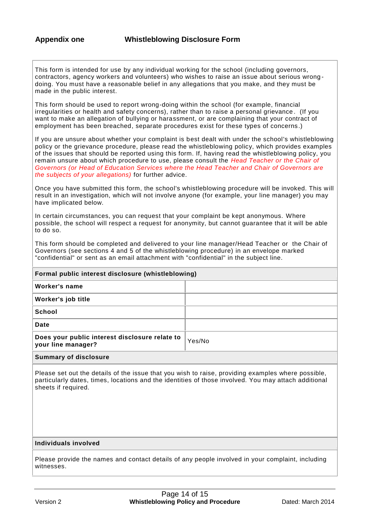This form is intended for use by any individual working for the school (including governors, contractors, agency workers and volunteers) who wishes to raise an issue about serious wrong doing. You must have a reasonable belief in any allegations that you make, and they must be made in the public interest.

This form should be used to report wrong-doing within the school (for example, financial irregularities or health and safety concerns), rather than to raise a personal grievance . (If you want to make an allegation of bullying or harassment, or are complaining that your contract of employment has been breached, separate procedures exist for these types of concerns .)

If you are unsure about whether your complaint is best dealt with under the school's whistleblowing policy or the grievance procedure, please read the whistleblowing policy, which provides examples of the issues that should be reported using this form. If, having read the whistleblowing policy, you remain unsure about which procedure to use, please consult the *Head Teacher or the Chair of Governors (or Head of Education Services where the Head Teacher and Chair of Governors are the subjects of your allegations)* for further advice.

Once you have submitted this form, the school's whistleblowing procedure will be invoked. This will result in an investigation, which will not involve anyone (for example, your line manager) you may have implicated below.

In certain circumstances, you can request that your complaint be kept anonymous. Where possible, the school will respect a request for anonymity, but cannot guarantee that it will be able to do so.

This form should be completed and delivered to your line manager/Head Teacher or the Chair of Governors (see sections 4 and 5 of the whistleblowing procedure) in an envelope marked "confidential" or sent as an email attachment with "confidential" in the subject line.

| Formal public interest disclosure (whistleblowing)                   |        |  |
|----------------------------------------------------------------------|--------|--|
| Worker's name                                                        |        |  |
| Worker's job title                                                   |        |  |
| <b>School</b>                                                        |        |  |
| Date                                                                 |        |  |
| Does your public interest disclosure relate to<br>your line manager? | Yes/No |  |
|                                                                      |        |  |

#### **Summary of disclosure**

Please set out the details of the issue that you wish to raise, providing examples where possible, particularly dates, times, locations and the identities of those involved. You may attach additional sheets if required.

#### **Individuals involved**

Please provide the names and contact details of any people involved in your complaint, including witnesses.